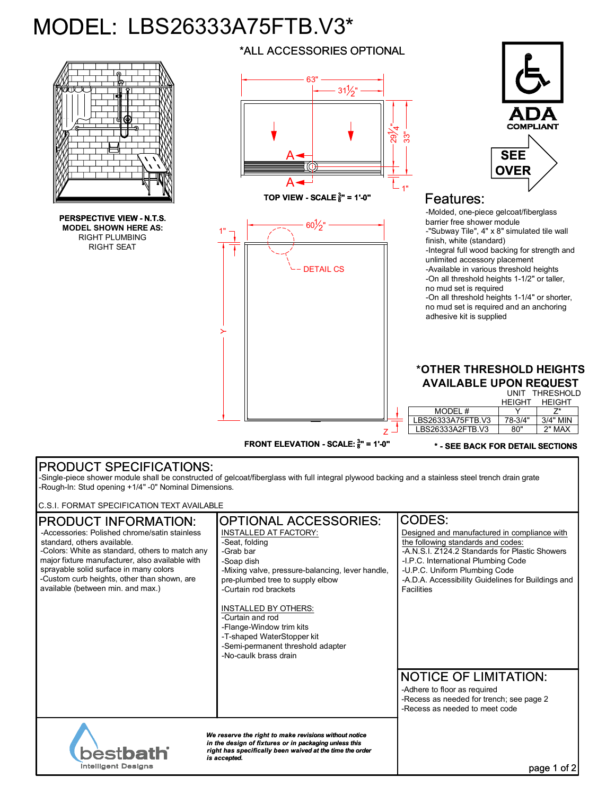## MODEL: LBS26333A75FTB.V3\*



## PRODUCT SPECIFICATIONS:

-Single-piece shower module shall be constructed of gelcoat/fiberglass with full integral plywood backing and a stainless steel trench drain grate -Rough-In: Stud opening +1/4" -0" Nominal Dimensions.

C.S.I. FORMAT SPECIFICATION TEXT AVAILABLE

| <b>IPRODUCT INFORMATION:</b><br>-Accessories: Polished chrome/satin stainless<br>standard, others available.                                                                                                                                | <b>OPTIONAL ACCESSORIES:</b><br>INSTALLED AT FACTORY:<br>-Seat, folding                                                                                          | CODES:<br>Designed and manufactured in compliance with<br>the following standards and codes:                                                                                               |
|---------------------------------------------------------------------------------------------------------------------------------------------------------------------------------------------------------------------------------------------|------------------------------------------------------------------------------------------------------------------------------------------------------------------|--------------------------------------------------------------------------------------------------------------------------------------------------------------------------------------------|
| -Colors: White as standard, others to match any<br>major fixture manufacturer, also available with<br>sprayable solid surface in many colors<br>-Custom curb heights, other than shown, are<br>available (between min. and max.)            | -Grab bar<br>-Soap dish<br>-Mixing valve, pressure-balancing, lever handle,<br>pre-plumbed tree to supply elbow<br>-Curtain rod brackets                         | -A.N.S.I. Z124.2 Standards for Plastic Showers<br>-I.P.C. International Plumbing Code<br>-U.P.C. Uniform Plumbing Code<br>-A.D.A. Accessibility Guidelines for Buildings and<br>Facilities |
|                                                                                                                                                                                                                                             | INSTALLED BY OTHERS:<br>-Curtain and rod<br>-Flange-Window trim kits<br>-T-shaped WaterStopper kit<br>-Semi-permanent threshold adapter<br>-No-caulk brass drain |                                                                                                                                                                                            |
|                                                                                                                                                                                                                                             |                                                                                                                                                                  | <b>NOTICE OF LIMITATION:</b><br>-Adhere to floor as required<br>-Recess as needed for trench; see page 2<br>-Recess as needed to meet code                                                 |
| We reserve the right to make revisions without notice<br>in the design of fixtures or in packaging unless this<br><b>bestbath</b><br>right has specifically been waived at the time the order<br>is accepted.<br><b>Intelligent Designs</b> |                                                                                                                                                                  | page 1                                                                                                                                                                                     |